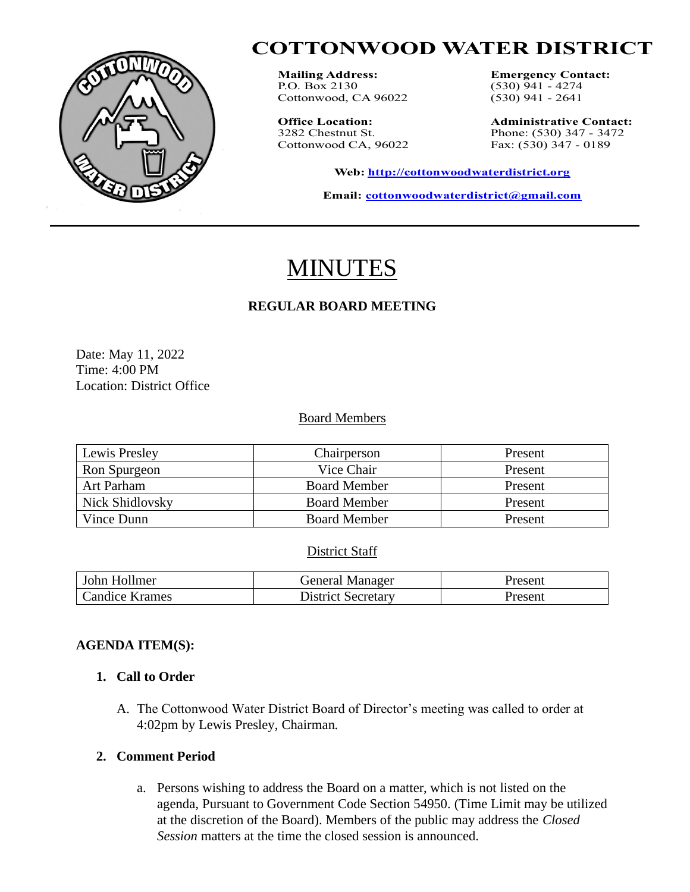

# **COTTONWOOD WATER DISTRICT**

**Mailing Address: Emergency Contact:**<br>**P.O.** Box 2130 (530) 941 - 4274 Cottonwood, CA 96022

Cottonwood CA, 96022

 $(530)$  941 - 4274<br> $(530)$  941 - 2641

**Office Location: Administrative Contact:** 3282 Chestnut St. <br>
Cottonwood CA, 96022 Fax: (530) 347 - 0189

**Web: [http://cottonwoodwaterdistrict.org](about:blank)**

**Email: [cottonwoodwaterdistrict@gmail.com](about:blank)**

# MINUTES

# **REGULAR BOARD MEETING**

Date: May 11, 2022 Time: 4:00 PM Location: District Office

#### Board Members

| Lewis Presley   | Chairperson         | Present |
|-----------------|---------------------|---------|
| Ron Spurgeon    | Vice Chair          | Present |
| Art Parham      | <b>Board Member</b> | Present |
| Nick Shidlovsky | <b>Board Member</b> | Present |
| Vince Dunn      | <b>Board Member</b> | Present |

#### District Staff

| John Hollmer          | <b>General Manager</b>    | Present |
|-----------------------|---------------------------|---------|
| <b>Candice Krames</b> | <b>District Secretary</b> | Present |

#### **AGENDA ITEM(S):**

### **1. Call to Order**

A. The Cottonwood Water District Board of Director's meeting was called to order at 4:02pm by Lewis Presley, Chairman.

#### **2. Comment Period**

a. Persons wishing to address the Board on a matter, which is not listed on the agenda, Pursuant to Government Code Section 54950. (Time Limit may be utilized at the discretion of the Board). Members of the public may address the *Closed Session* matters at the time the closed session is announced.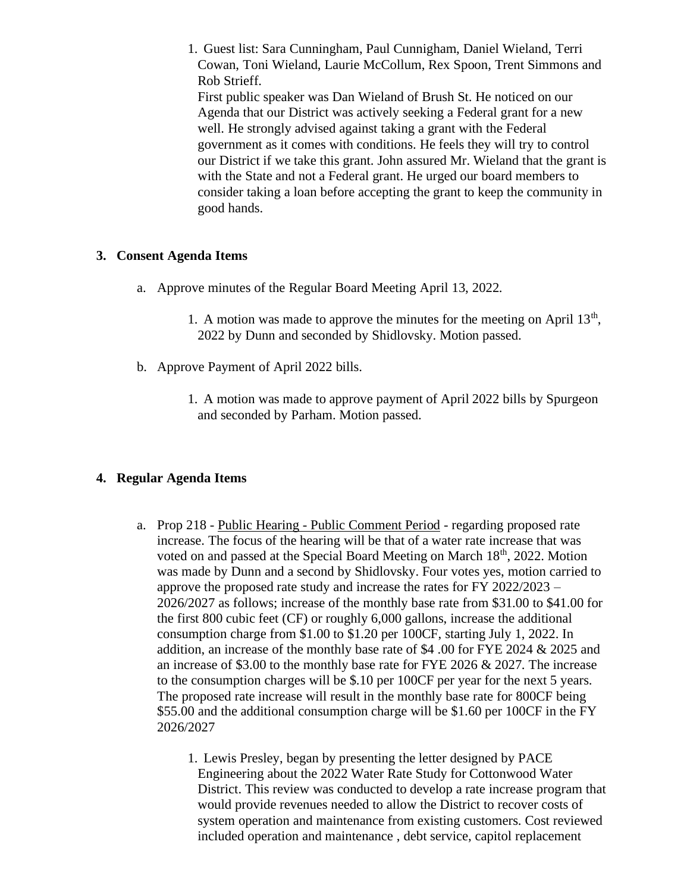1. Guest list: Sara Cunningham, Paul Cunnigham, Daniel Wieland, Terri Cowan, Toni Wieland, Laurie McCollum, Rex Spoon, Trent Simmons and Rob Strieff. First public speaker was Dan Wieland of Brush St. He noticed on our Agenda that our District was actively seeking a Federal grant for a new well. He strongly advised against taking a grant with the Federal government as it comes with conditions. He feels they will try to control our District if we take this grant. John assured Mr. Wieland that the grant is with the State and not a Federal grant. He urged our board members to

consider taking a loan before accepting the grant to keep the community in good hands.

### **3. Consent Agenda Items**

- a. Approve minutes of the Regular Board Meeting April 13, 2022.
	- 1. A motion was made to approve the minutes for the meeting on April  $13<sup>th</sup>$ , 2022 by Dunn and seconded by Shidlovsky. Motion passed.
- b. Approve Payment of April 2022 bills.
	- 1. A motion was made to approve payment of April 2022 bills by Spurgeon and seconded by Parham. Motion passed.

# **4. Regular Agenda Items**

- a. Prop 218 Public Hearing Public Comment Period regarding proposed rate increase. The focus of the hearing will be that of a water rate increase that was voted on and passed at the Special Board Meeting on March 18<sup>th</sup>, 2022. Motion was made by Dunn and a second by Shidlovsky. Four votes yes, motion carried to approve the proposed rate study and increase the rates for FY 2022/2023 – 2026/2027 as follows; increase of the monthly base rate from \$31.00 to \$41.00 for the first 800 cubic feet (CF) or roughly 6,000 gallons, increase the additional consumption charge from \$1.00 to \$1.20 per 100CF, starting July 1, 2022. In addition, an increase of the monthly base rate of \$4 .00 for FYE 2024 & 2025 and an increase of \$3.00 to the monthly base rate for FYE 2026 & 2027. The increase to the consumption charges will be \$.10 per 100CF per year for the next 5 years. The proposed rate increase will result in the monthly base rate for 800CF being \$55.00 and the additional consumption charge will be \$1.60 per 100CF in the FY 2026/2027
	- 1. Lewis Presley, began by presenting the letter designed by PACE Engineering about the 2022 Water Rate Study for Cottonwood Water District. This review was conducted to develop a rate increase program that would provide revenues needed to allow the District to recover costs of system operation and maintenance from existing customers. Cost reviewed included operation and maintenance , debt service, capitol replacement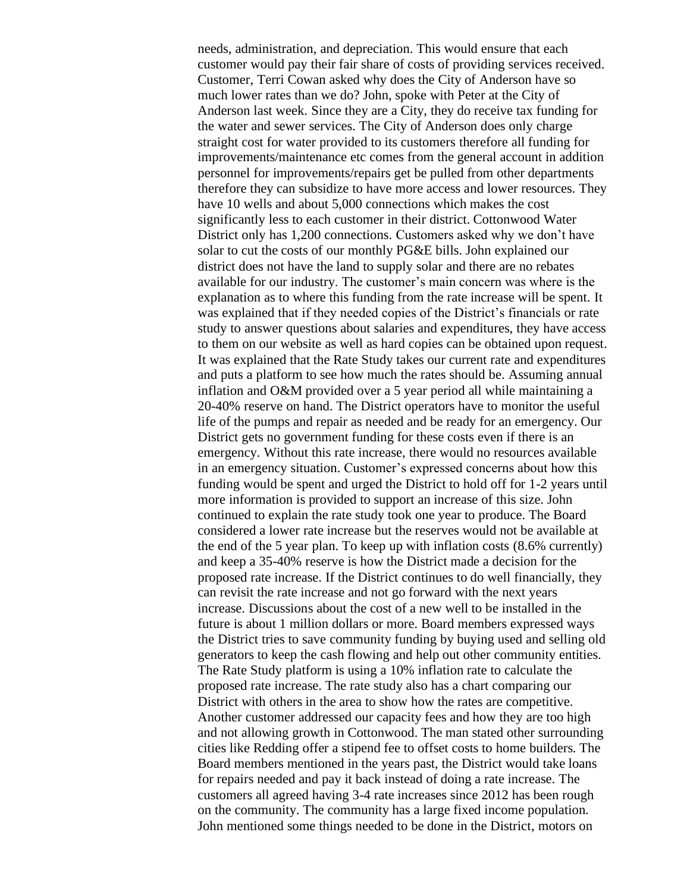needs, administration, and depreciation. This would ensure that each customer would pay their fair share of costs of providing services received. Customer, Terri Cowan asked why does the City of Anderson have so much lower rates than we do? John, spoke with Peter at the City of Anderson last week. Since they are a City, they do receive tax funding for the water and sewer services. The City of Anderson does only charge straight cost for water provided to its customers therefore all funding for improvements/maintenance etc comes from the general account in addition personnel for improvements/repairs get be pulled from other departments therefore they can subsidize to have more access and lower resources. They have 10 wells and about 5,000 connections which makes the cost significantly less to each customer in their district. Cottonwood Water District only has 1,200 connections. Customers asked why we don't have solar to cut the costs of our monthly PG&E bills. John explained our district does not have the land to supply solar and there are no rebates available for our industry. The customer's main concern was where is the explanation as to where this funding from the rate increase will be spent. It was explained that if they needed copies of the District's financials or rate study to answer questions about salaries and expenditures, they have access to them on our website as well as hard copies can be obtained upon request. It was explained that the Rate Study takes our current rate and expenditures and puts a platform to see how much the rates should be. Assuming annual inflation and O&M provided over a 5 year period all while maintaining a 20-40% reserve on hand. The District operators have to monitor the useful life of the pumps and repair as needed and be ready for an emergency. Our District gets no government funding for these costs even if there is an emergency. Without this rate increase, there would no resources available in an emergency situation. Customer's expressed concerns about how this funding would be spent and urged the District to hold off for 1-2 years until more information is provided to support an increase of this size. John continued to explain the rate study took one year to produce. The Board considered a lower rate increase but the reserves would not be available at the end of the 5 year plan. To keep up with inflation costs (8.6% currently) and keep a 35-40% reserve is how the District made a decision for the proposed rate increase. If the District continues to do well financially, they can revisit the rate increase and not go forward with the next years increase. Discussions about the cost of a new well to be installed in the future is about 1 million dollars or more. Board members expressed ways the District tries to save community funding by buying used and selling old generators to keep the cash flowing and help out other community entities. The Rate Study platform is using a 10% inflation rate to calculate the proposed rate increase. The rate study also has a chart comparing our District with others in the area to show how the rates are competitive. Another customer addressed our capacity fees and how they are too high and not allowing growth in Cottonwood. The man stated other surrounding cities like Redding offer a stipend fee to offset costs to home builders. The Board members mentioned in the years past, the District would take loans for repairs needed and pay it back instead of doing a rate increase. The customers all agreed having 3-4 rate increases since 2012 has been rough on the community. The community has a large fixed income population. John mentioned some things needed to be done in the District, motors on